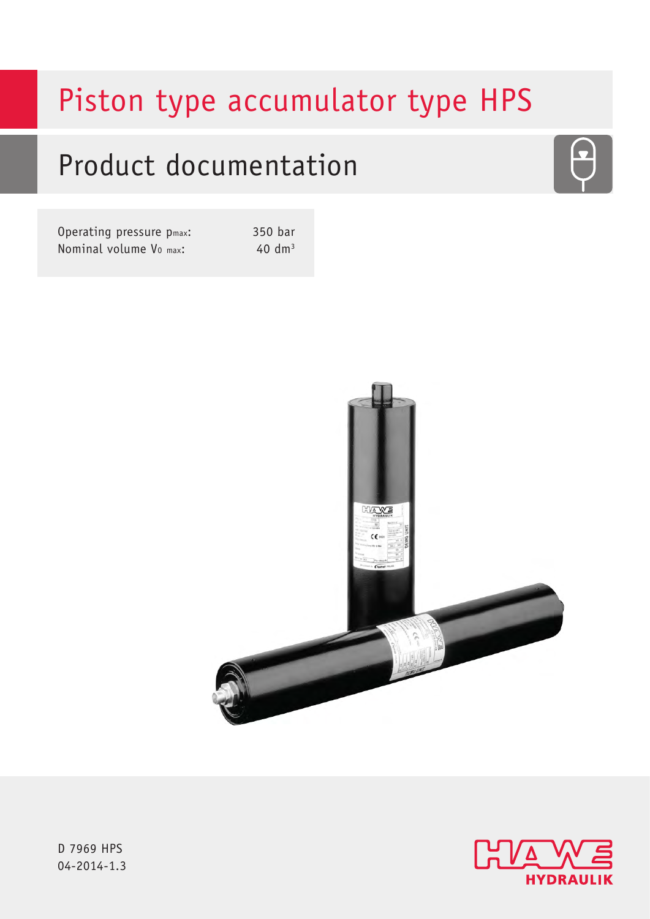# Piston type accumulator type HPS

# Product documentation

Operating pressure p<sub>max</sub>: 350 bar Nominal volume  $V_0$  max:  $40 \text{ dm}^3$ 





D 7969 HPS 04-2014-1.

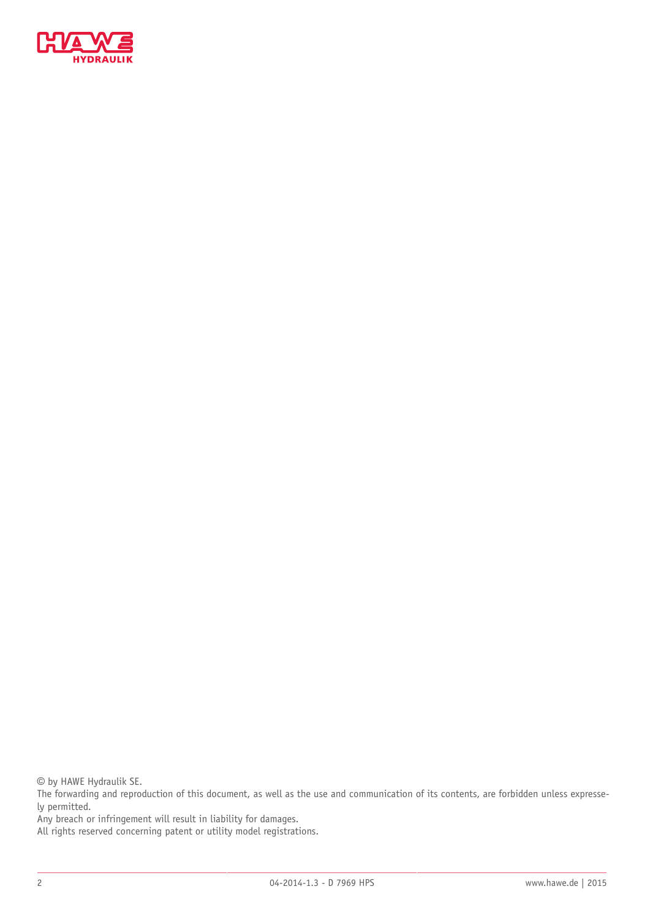

© by HAWE Hydraulik SE.

The forwarding and reproduction of this document, as well as the use and communication of its contents, are forbidden unless expressely permitted.

Any breach or infringement will result in liability for damages.

All rights reserved concerning patent or utility model registrations.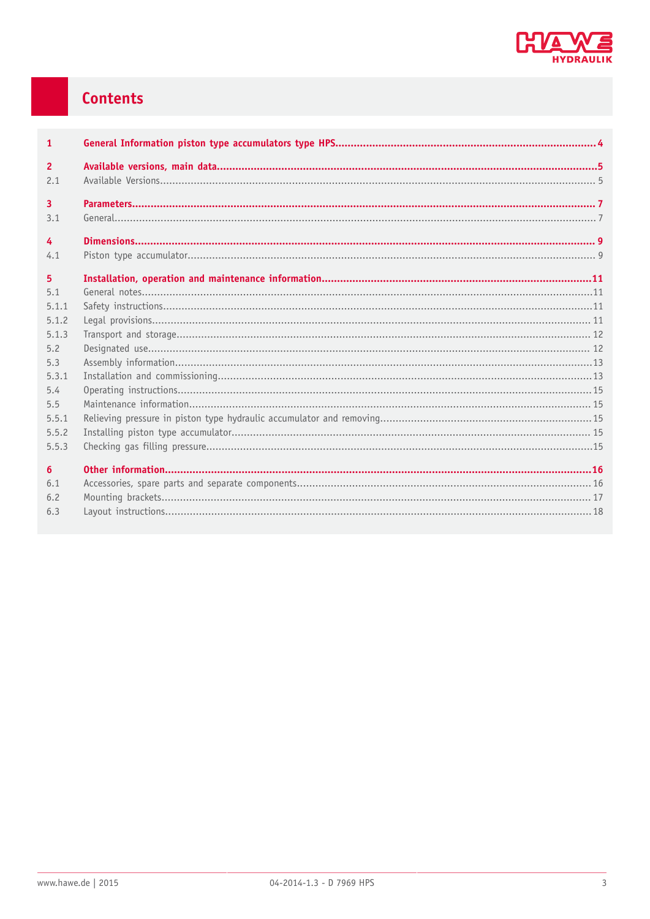

## Contents

| $\mathbf{1}$   |  |
|----------------|--|
| $\overline{2}$ |  |
| 2.1            |  |
| 3              |  |
| 3.1            |  |
|                |  |
| $\overline{4}$ |  |
| 4.1            |  |
| 5              |  |
| 5.1            |  |
| 5.1.1          |  |
| 5.1.2          |  |
| 5.1.3          |  |
| 5.2            |  |
| 5.3            |  |
| 5.3.1          |  |
| 5.4            |  |
| 5.5            |  |
| 5.5.1          |  |
| 5.5.2          |  |
| 5.5.3          |  |
| 6              |  |
| 6.1            |  |
| 6.2            |  |
| 6.3            |  |
|                |  |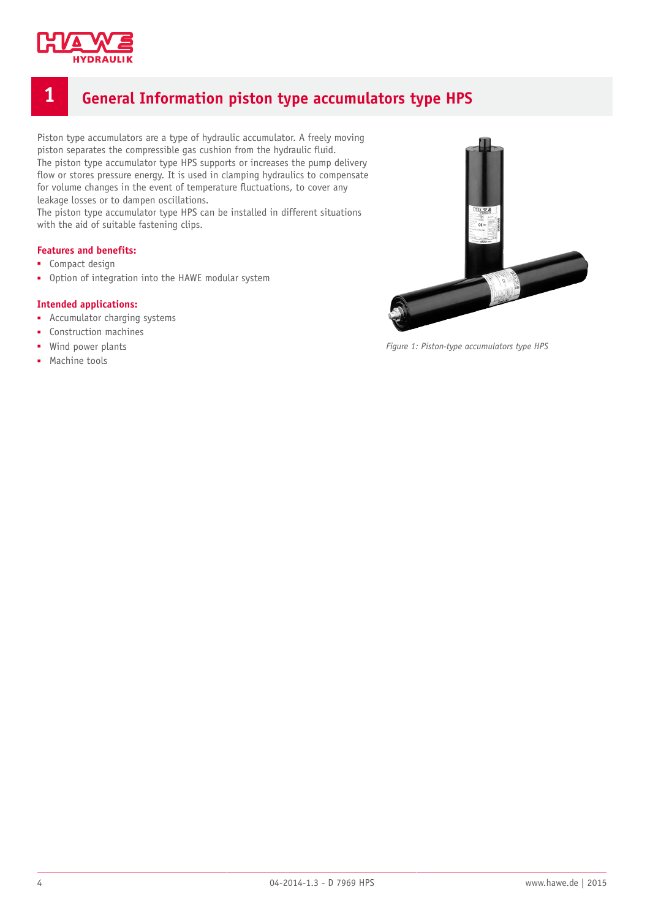

## <span id="page-3-0"></span>**1 General Information piston type accumulators type HPS**

Piston type accumulators are a type of hydraulic accumulator. A freely moving piston separates the compressible gas cushion from the hydraulic fluid. The piston type accumulator type HPS supports or increases the pump delivery flow or stores pressure energy. It is used in clamping hydraulics to compensate for volume changes in the event of temperature fluctuations, to cover any leakage losses or to dampen oscillations.

The piston type accumulator type HPS can be installed in different situations with the aid of suitable fastening clips.

#### **Features and benefits:**

- Compact design
- Option of integration into the HAWE modular system

#### **Intended applications:**

- Accumulator charging systems
- Construction machines
- Wind power plants
- Machine tools



*Figure 1: Piston-type accumulators type HPS*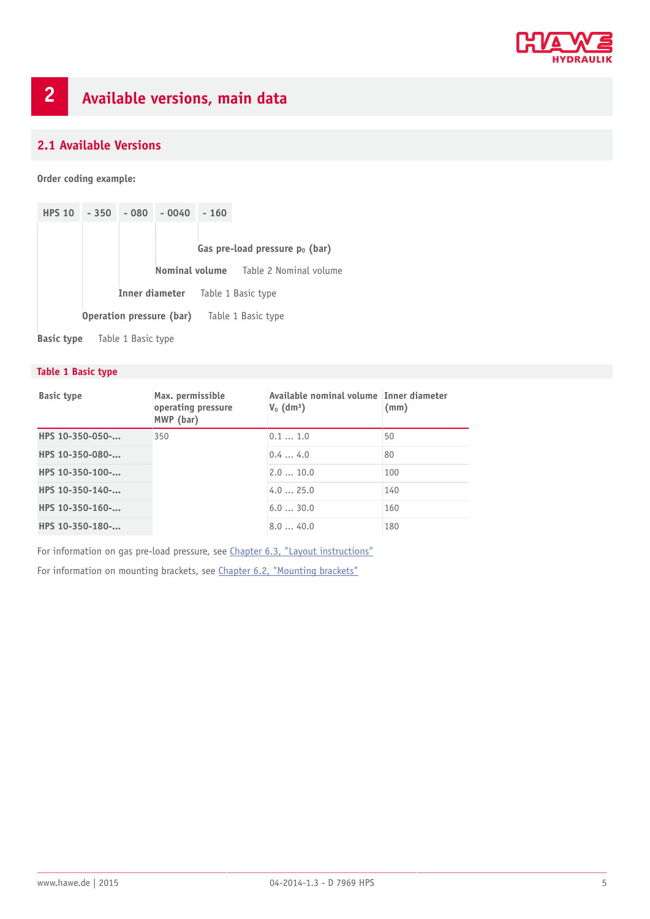

#### <span id="page-4-1"></span><span id="page-4-0"></span>**2.1 Available Versions**

**Order coding example:**

| <b>HPS 10</b> | $-350$ | $-080$ | $-0040$                  | $-160$ |                                   |
|---------------|--------|--------|--------------------------|--------|-----------------------------------|
|               |        |        |                          |        |                                   |
|               |        |        |                          |        | Gas pre-load pressure $p_0$ (bar) |
|               |        |        | Nominal volume           |        | Table 2 Nominal volume            |
|               |        |        |                          |        | Inner diameter Table 1 Basic type |
|               |        |        | Operation pressure (bar) |        | Table 1 Basic type                |

**Basic type** Table 1 Basic type

#### **Table 1 Basic type**

| <b>Basic type</b> | Max. permissible<br>operating pressure<br>MWP (bar) | Available nominal volume Inner diameter<br>$V_0$ (dm <sup>3</sup> ) | (mm) |
|-------------------|-----------------------------------------------------|---------------------------------------------------------------------|------|
| HPS 10-350-050-   | 350                                                 | 0.11.0                                                              | 50   |
| HPS 10-350-080-   |                                                     | 0.44.0                                                              | 80   |
| HPS 10-350-100-   |                                                     | 2.010.0                                                             | 100  |
| HPS 10-350-140-   |                                                     | 4.025.0                                                             | 140  |
| HPS 10-350-160-   |                                                     | 6.030.0                                                             | 160  |
| HPS 10-350-180-   |                                                     | 8.040.0                                                             | 180  |

For information on gas pre-load pressure, see [Chapter 6.3, "Layout instructions"](#page-17-0)

For information on mounting brackets, see [Chapter 6.2, "Mounting brackets"](#page-16-0)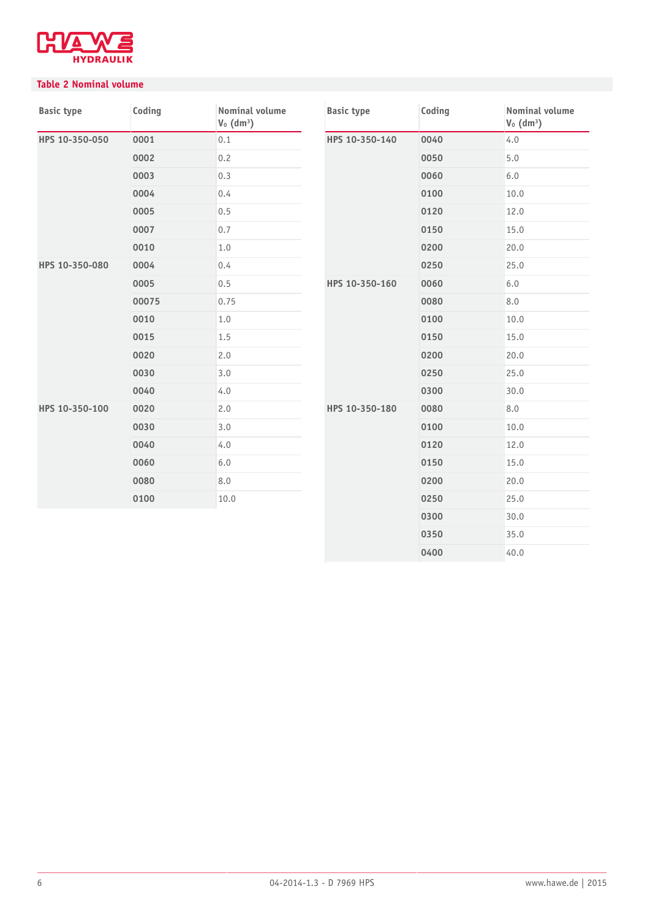

#### **Table 2 Nominal volume**

| <b>Basic type</b> | Coding | Nominal volume<br>$V_0$ (dm <sup>3</sup> ) | <b>Basic type</b> | Coding | <b>Nominal volume</b><br>$V_0$ (dm <sup>3</sup> ) |
|-------------------|--------|--------------------------------------------|-------------------|--------|---------------------------------------------------|
| HPS 10-350-050    | 0001   | 0.1                                        | HPS 10-350-140    | 0040   | 4.0                                               |
|                   | 0002   | 0.2                                        |                   | 0050   | 5.0                                               |
|                   | 0003   | 0.3                                        |                   | 0060   | 6.0                                               |
|                   | 0004   | 0.4                                        |                   | 0100   | 10.0                                              |
|                   | 0005   | 0.5                                        |                   | 0120   | 12.0                                              |
|                   | 0007   | 0.7                                        |                   | 0150   | 15.0                                              |
|                   | 0010   | 1.0                                        |                   | 0200   | 20.0                                              |
| HPS 10-350-080    | 0004   | 0.4                                        |                   | 0250   | 25.0                                              |
|                   | 0005   | 0.5                                        | HPS 10-350-160    | 0060   | 6.0                                               |
|                   | 00075  | 0.75                                       |                   | 0080   | 8.0                                               |
|                   | 0010   | 1.0                                        |                   | 0100   | 10.0                                              |
|                   | 0015   | 1.5                                        |                   | 0150   | 15.0                                              |
|                   | 0020   | 2.0                                        |                   | 0200   | 20.0                                              |
|                   | 0030   | 3.0                                        |                   | 0250   | 25.0                                              |
|                   | 0040   | 4.0                                        |                   | 0300   | 30.0                                              |
| HPS 10-350-100    | 0020   | 2.0                                        | HPS 10-350-180    | 0080   | 8.0                                               |
|                   | 0030   | 3.0                                        |                   | 0100   | 10.0                                              |
|                   | 0040   | 4.0                                        |                   | 0120   | 12.0                                              |
|                   | 0060   | 6.0                                        |                   | 0150   | 15.0                                              |
|                   | 0080   | 8.0                                        |                   | 0200   | 20.0                                              |
|                   | 0100   | 10.0                                       |                   | 0250   | 25.0                                              |
|                   |        |                                            |                   | 0300   | 30.0                                              |
|                   |        |                                            |                   | 0350   | 35.0                                              |
|                   |        |                                            |                   | 0400   | 40.0                                              |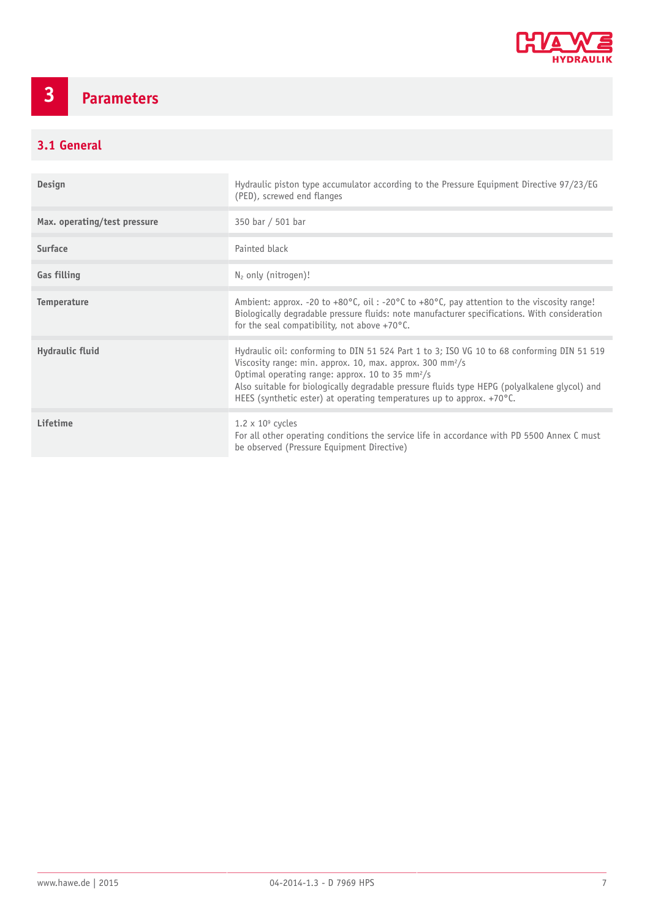

## <span id="page-6-0"></span>**3 Parameters**

### <span id="page-6-1"></span>**3.1 General**

| Design                       | Hydraulic piston type accumulator according to the Pressure Equipment Directive 97/23/EG<br>(PED), screwed end flanges                                                                                                                                                                                                                                                                                                  |
|------------------------------|-------------------------------------------------------------------------------------------------------------------------------------------------------------------------------------------------------------------------------------------------------------------------------------------------------------------------------------------------------------------------------------------------------------------------|
| Max. operating/test pressure | 350 bar / 501 bar                                                                                                                                                                                                                                                                                                                                                                                                       |
| <b>Surface</b>               | Painted black                                                                                                                                                                                                                                                                                                                                                                                                           |
| <b>Gas filling</b>           | $N_2$ only (nitrogen)!                                                                                                                                                                                                                                                                                                                                                                                                  |
| <b>Temperature</b>           | Ambient: approx. -20 to +80°C, oil: -20°C to +80°C, pay attention to the viscosity range!<br>Biologically degradable pressure fluids: note manufacturer specifications. With consideration<br>for the seal compatibility, not above $+70^{\circ}$ C.                                                                                                                                                                    |
| Hydraulic fluid              | Hydraulic oil: conforming to DIN 51 524 Part 1 to 3; ISO VG 10 to 68 conforming DIN 51 519<br>Viscosity range: min. approx. 10, max. approx. 300 mm <sup>2</sup> /s<br>Optimal operating range: approx. 10 to 35 mm <sup>2</sup> /s<br>Also suitable for biologically degradable pressure fluids type HEPG (polyalkalene glycol) and<br>HEES (synthetic ester) at operating temperatures up to approx. $+70^{\circ}$ C. |
| <b>Lifetime</b>              | $1.2 \times 10^9$ cycles<br>For all other operating conditions the service life in accordance with PD 5500 Annex C must<br>be observed (Pressure Equipment Directive)                                                                                                                                                                                                                                                   |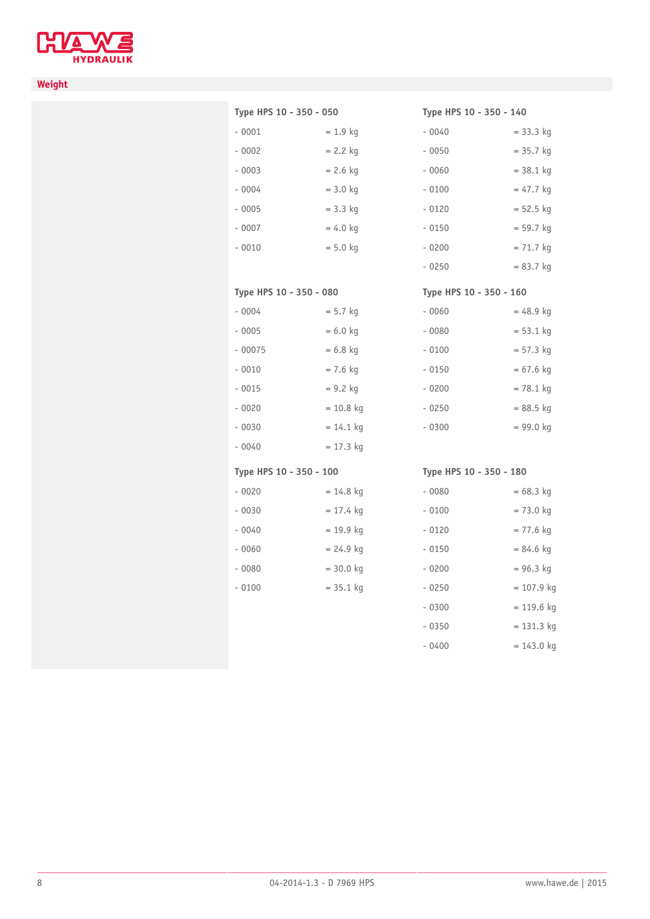

#### **Weight**

#### **Type HPS 10 - 350 - 050**

**Type HPS 10 - 350 - 080**

 $-0004$  = 5.7 kg  $-0005$  = 6.0 kg  $-00075$   $= 6.8$  kg  $-0010$  = 7.6 kg  $-0015$  = 9.2 kg  $-0020$  = 10.8 kg  $- 0030 = 14.1$  kg  $-0040$  = 17.3 kg

| $-0001$ | $= 1.9$ kg |
|---------|------------|
| $-0002$ | $= 2.2$ kg |
| $-0003$ | $= 2.6$ kg |
| $-0004$ | $= 3.0$ kg |
| $-0005$ | $= 3.3$ kg |
| $-0007$ | $= 4.0$ kg |
| $-0010$ | $= 5.0$ kg |
|         |            |

#### **Type HPS 10 - 350 - 140**

| - 0040  | $= 33.3$ kg |
|---------|-------------|
| $-0050$ | $= 35.7$ kg |
| $-0060$ | $=$ 38.1 kg |
| $-0100$ | $= 47.7$ kg |
| $-0120$ | $= 52.5$ kg |
| $-0150$ | $= 59.7$ kg |
| $-0200$ | $= 71.7$ kg |
| - 0250  | $= 83.7$ kg |

#### **Type HPS 10 - 350 - 160**

| - 0060 | = 48.9 kg   |
|--------|-------------|
| - 0080 | $= 53.1$ kg |
| - 0100 | $= 57.3$ kg |
| - 0150 | $= 67.6$ kg |
| - 0200 | $= 78.1$ kg |
| - 0250 | = 88.5 kg   |
| - 0300 | = 99.0 kg   |

#### **Type HPS 10 - 350 - 100**

| - 0020  | $= 14.8$ kg |
|---------|-------------|
| - 0030  | $= 17.4$ kg |
| - 0040  | $= 19.9$ kg |
| $-0060$ | $= 24.9$ kg |
| $-0080$ | $= 30.0$ kg |
| $-0100$ | $= 35.1$ kg |
|         |             |

#### **Type HPS 10 - 350 - 180**

| - 0080  | $= 68.3$ kg  |
|---------|--------------|
| - 0100  | $= 73.0$ kg  |
| $-0120$ | $= 77.6$ kg  |
| - 0150  | $= 84.6$ kg  |
| $-0200$ | $= 96.3$ kg  |
| $-0250$ | $= 107.9$ kg |
| $-0300$ | $= 119.6$ kg |
| - 0350  | $= 131.3$ kg |
| - 0400  | = 143.0 kg   |
|         |              |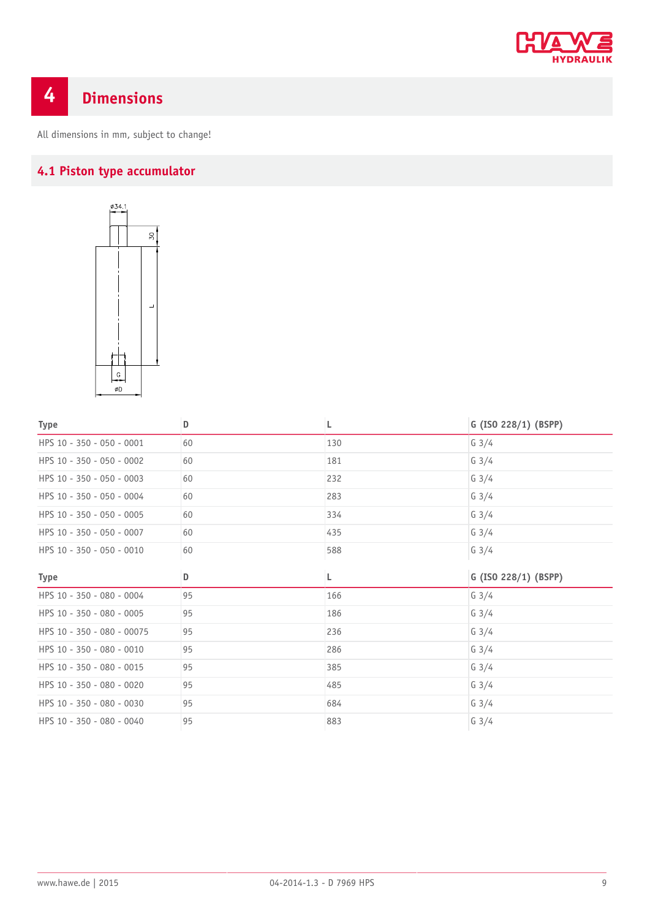

## <span id="page-8-0"></span>**4 Dimensions**

<span id="page-8-1"></span>All dimensions in mm, subject to change!

## **4.1 Piston type accumulator**



| <b>Type</b>                | D  | L   | G (ISO 228/1) (BSPP) |
|----------------------------|----|-----|----------------------|
| HPS 10 - 350 - 050 - 0001  | 60 | 130 | $G \frac{3}{4}$      |
| HPS 10 - 350 - 050 - 0002  | 60 | 181 | $G \frac{3}{4}$      |
| HPS 10 - 350 - 050 - 0003  | 60 | 232 | $G \frac{3}{4}$      |
| HPS 10 - 350 - 050 - 0004  | 60 | 283 | $G \frac{3}{4}$      |
| HPS 10 - 350 - 050 - 0005  | 60 | 334 | $G \frac{3}{4}$      |
| HPS 10 - 350 - 050 - 0007  | 60 | 435 | $G \frac{3}{4}$      |
| HPS 10 - 350 - 050 - 0010  | 60 | 588 | $G \frac{3}{4}$      |
| <b>Type</b>                | D  | L   | G (ISO 228/1) (BSPP) |
| HPS 10 - 350 - 080 - 0004  | 95 | 166 | $G \frac{3}{4}$      |
| HPS 10 - 350 - 080 - 0005  | 95 | 186 | $G \frac{3}{4}$      |
| HPS 10 - 350 - 080 - 00075 | 95 | 236 | $G \frac{3}{4}$      |
| HPS 10 - 350 - 080 - 0010  | 95 | 286 | $G \frac{3}{4}$      |
| HPS 10 - 350 - 080 - 0015  | 95 | 385 | $G \frac{3}{4}$      |
| HPS 10 - 350 - 080 - 0020  | 95 | 485 | $G \frac{3}{4}$      |
| HPS 10 - 350 - 080 - 0030  | 95 | 684 | $G \frac{3}{4}$      |
| HPS 10 - 350 - 080 - 0040  | 95 | 883 | $G \frac{3}{4}$      |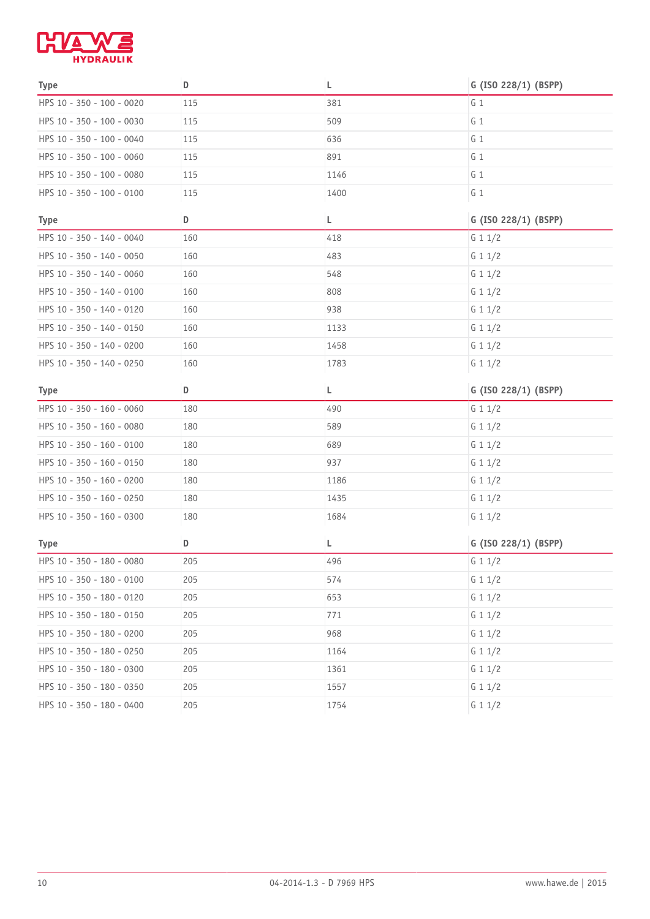

| <b>Type</b>               | D   | L    | G (ISO 228/1) (BSPP) |
|---------------------------|-----|------|----------------------|
| HPS 10 - 350 - 100 - 0020 | 115 | 381  | G <sub>1</sub>       |
| HPS 10 - 350 - 100 - 0030 | 115 | 509  | $G_1$                |
| HPS 10 - 350 - 100 - 0040 | 115 | 636  | $G_1$                |
| HPS 10 - 350 - 100 - 0060 | 115 | 891  | G <sub>1</sub>       |
| HPS 10 - 350 - 100 - 0080 | 115 | 1146 | $G_1$                |
| HPS 10 - 350 - 100 - 0100 | 115 | 1400 | $G_1$                |
| <b>Type</b>               | D   | L    | G (ISO 228/1) (BSPP) |
| HPS 10 - 350 - 140 - 0040 | 160 | 418  | G 1 1/2              |
| HPS 10 - 350 - 140 - 0050 | 160 | 483  | G 1 1/2              |
| HPS 10 - 350 - 140 - 0060 | 160 | 548  | G 1 1/2              |
| HPS 10 - 350 - 140 - 0100 | 160 | 808  | G 1 1/2              |
| HPS 10 - 350 - 140 - 0120 | 160 | 938  | G 1 1/2              |
| HPS 10 - 350 - 140 - 0150 | 160 | 1133 | G 1 1/2              |
| HPS 10 - 350 - 140 - 0200 | 160 | 1458 | G 1 1/2              |
| HPS 10 - 350 - 140 - 0250 | 160 | 1783 | G 1 1/2              |
| <b>Type</b>               | D   | L    | G (ISO 228/1) (BSPP) |
| HPS 10 - 350 - 160 - 0060 | 180 | 490  | G 1 1/2              |
| HPS 10 - 350 - 160 - 0080 | 180 | 589  | G 1 1/2              |
| HPS 10 - 350 - 160 - 0100 | 180 | 689  | G 1 1/2              |
| HPS 10 - 350 - 160 - 0150 | 180 | 937  | G 1 1/2              |
| HPS 10 - 350 - 160 - 0200 | 180 | 1186 | G 1 1/2              |
| HPS 10 - 350 - 160 - 0250 | 180 | 1435 | G 1 1/2              |
| HPS 10 - 350 - 160 - 0300 | 180 | 1684 | G 1 1/2              |
| <b>Type</b>               | D   | L    | G (ISO 228/1) (BSPP) |
| HPS 10 - 350 - 180 - 0080 | 205 | 496  | G 1 1/2              |
| HPS 10 - 350 - 180 - 0100 | 205 | 574  | G 1 1/2              |
| HPS 10 - 350 - 180 - 0120 | 205 | 653  | G 1 1/2              |
| HPS 10 - 350 - 180 - 0150 | 205 | 771  | G 1 1/2              |
| HPS 10 - 350 - 180 - 0200 | 205 | 968  | G 1 1/2              |
| HPS 10 - 350 - 180 - 0250 | 205 | 1164 | G 1 $1/2$            |
| HPS 10 - 350 - 180 - 0300 | 205 | 1361 | G 1 1/2              |
| HPS 10 - 350 - 180 - 0350 | 205 | 1557 | G 1 1/2              |
| HPS 10 - 350 - 180 - 0400 | 205 | 1754 | G 1 1/2              |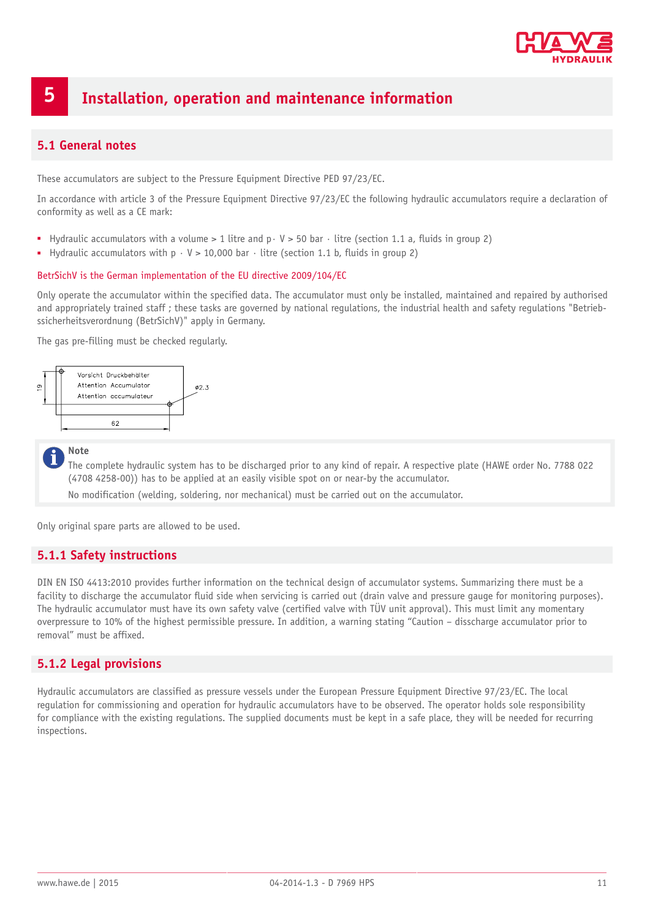

## <span id="page-10-0"></span>**5 Installation, operation and maintenance information**

#### <span id="page-10-1"></span>**5.1 General notes**

These accumulators are subject to the Pressure Equipment Directive PED 97/23/EC.

In accordance with article 3 of the Pressure Equipment Directive 97/23/EC the following hydraulic accumulators require a declaration of conformity as well as a CE mark:

- Hydraulic accumulators with a volume > 1 litre and p · V > 50 bar · litre (section 1.1 a, fluids in group 2)
- **■** Hydraulic accumulators with  $p \cdot V > 10,000$  bar  $\cdot$  litre (section 1.1 b, fluids in group 2)

#### BetrSichV is the German implementation of the EU directive 2009/104/EC

Only operate the accumulator within the specified data. The accumulator must only be installed, maintained and repaired by authorised and appropriately trained staff ; these tasks are governed by national regulations, the industrial health and safety regulations "Betriebssicherheitsverordnung (BetrSichV)" apply in Germany.

The gas pre-filling must be checked regularly.



#### **Note**

The complete hydraulic system has to be discharged prior to any kind of repair. A respective plate (HAWE order No. 7788 022 (4708 4258-00)) has to be applied at an easily visible spot on or near-by the accumulator.

No modification (welding, soldering, nor mechanical) must be carried out on the accumulator.

<span id="page-10-2"></span>Only original spare parts are allowed to be used.

#### **5.1.1 Safety instructions**

DIN EN ISO 4413:2010 provides further information on the technical design of accumulator systems. Summarizing there must be a facility to discharge the accumulator fluid side when servicing is carried out (drain valve and pressure gauge for monitoring purposes). The hydraulic accumulator must have its own safety valve (certified valve with TÜV unit approval). This must limit any momentary overpressure to 10% of the highest permissible pressure. In addition, a warning stating "Caution – disscharge accumulator prior to removal" must be affixed.

#### <span id="page-10-3"></span>**5.1.2 Legal provisions**

Hydraulic accumulators are classified as pressure vessels under the European Pressure Equipment Directive 97/23/EC. The local regulation for commissioning and operation for hydraulic accumulators have to be observed. The operator holds sole responsibility for compliance with the existing regulations. The supplied documents must be kept in a safe place, they will be needed for recurring inspections.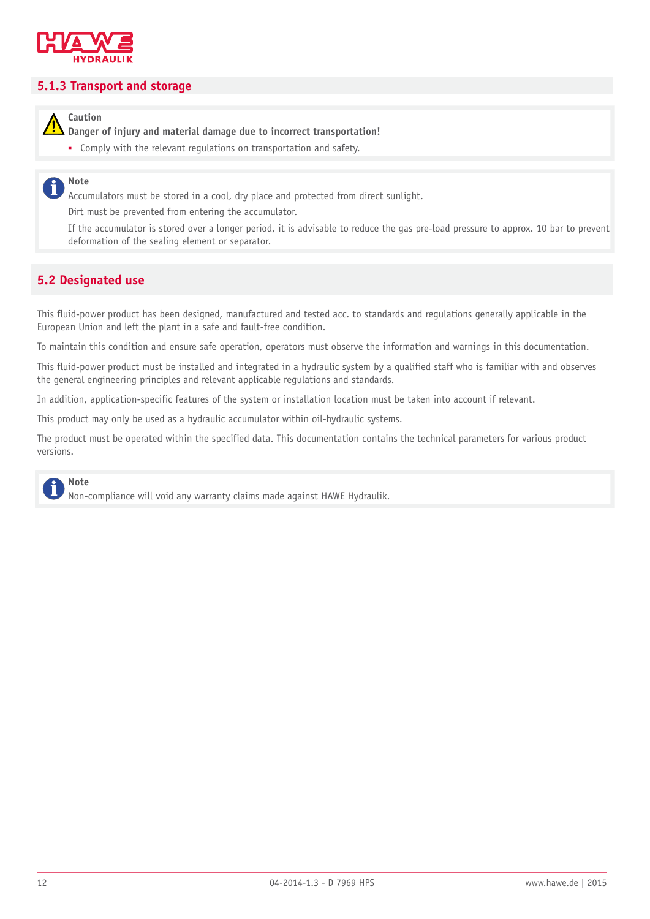

#### <span id="page-11-0"></span>**5.1.3 Transport and storage**

**Caution**

**Danger of injury and material damage due to incorrect transportation!**

■ Comply with the relevant regulations on transportation and safety.

#### **Note** i

Accumulators must be stored in a cool, dry place and protected from direct sunlight.

Dirt must be prevented from entering the accumulator.

If the accumulator is stored over a longer period, it is advisable to reduce the gas pre-load pressure to approx. 10 bar to prevent deformation of the sealing element or separator.

#### <span id="page-11-1"></span>**5.2 Designated use**

This fluid-power product has been designed, manufactured and tested acc. to standards and regulations generally applicable in the European Union and left the plant in a safe and fault-free condition.

To maintain this condition and ensure safe operation, operators must observe the information and warnings in this documentation.

This fluid-power product must be installed and integrated in a hydraulic system by a qualified staff who is familiar with and observes the general engineering principles and relevant applicable regulations and standards.

In addition, application-specific features of the system or installation location must be taken into account if relevant.

This product may only be used as a hydraulic accumulator within oil-hydraulic systems.

The product must be operated within the specified data. This documentation contains the technical parameters for various product versions.

## **Note**

Non-compliance will void any warranty claims made against HAWE Hydraulik.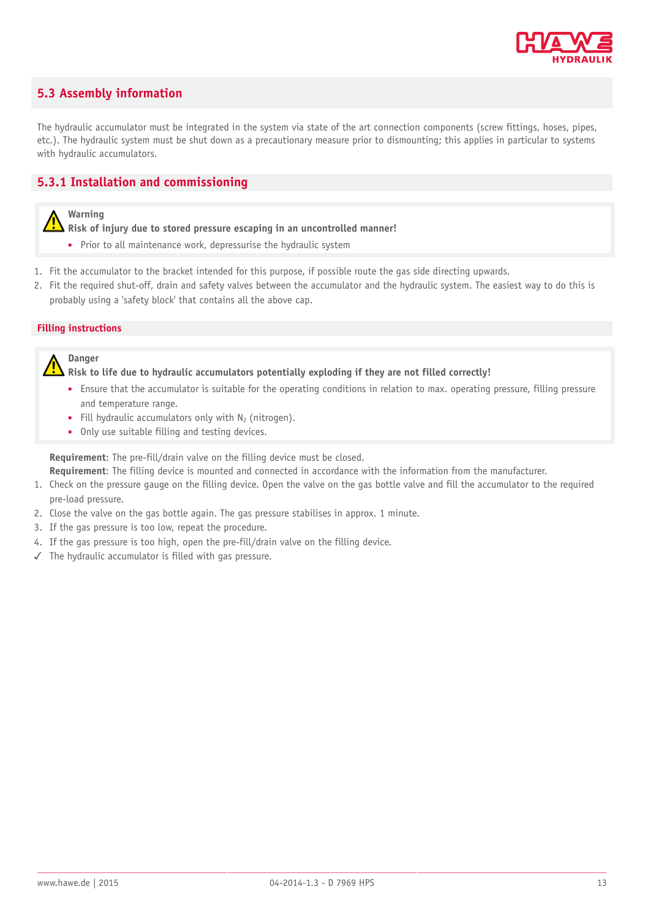

#### <span id="page-12-0"></span>**5.3 Assembly information**

The hydraulic accumulator must be integrated in the system via state of the art connection components (screw fittings, hoses, pipes, etc.). The hydraulic system must be shut down as a precautionary measure prior to dismounting; this applies in particular to systems with hydraulic accumulators.

#### <span id="page-12-1"></span>**5.3.1 Installation and commissioning**

#### **Warning**

**Risk of injury due to stored pressure escaping in an uncontrolled manner!**

- Prior to all maintenance work, depressurise the hydraulic system
- 1. Fit the accumulator to the bracket intended for this purpose, if possible route the gas side directing upwards.

2. Fit the required shut-off, drain and safety valves between the accumulator and the hydraulic system. The easiest way to do this is probably using a 'safety block' that contains all the above cap.

#### **Filling instructions**



**Risk to life due to hydraulic accumulators potentially exploding if they are not filled correctly!**

- Ensure that the accumulator is suitable for the operating conditions in relation to max. operating pressure, filling pressure and temperature range.
- **•** Fill hydraulic accumulators only with  $N_2$  (nitrogen).
- Only use suitable filling and testing devices.

**Requirement**: The pre-fill/drain valve on the filling device must be closed.

**Requirement**: The filling device is mounted and connected in accordance with the information from the manufacturer.

- 1. Check on the pressure gauge on the filling device. Open the valve on the gas bottle valve and fill the accumulator to the required pre-load pressure.
- 2. Close the valve on the gas bottle again. The gas pressure stabilises in approx. 1 minute.
- 3. If the gas pressure is too low, repeat the procedure.
- 4. If the gas pressure is too high, open the pre-fill/drain valve on the filling device.
- ✓ The hydraulic accumulator is filled with gas pressure.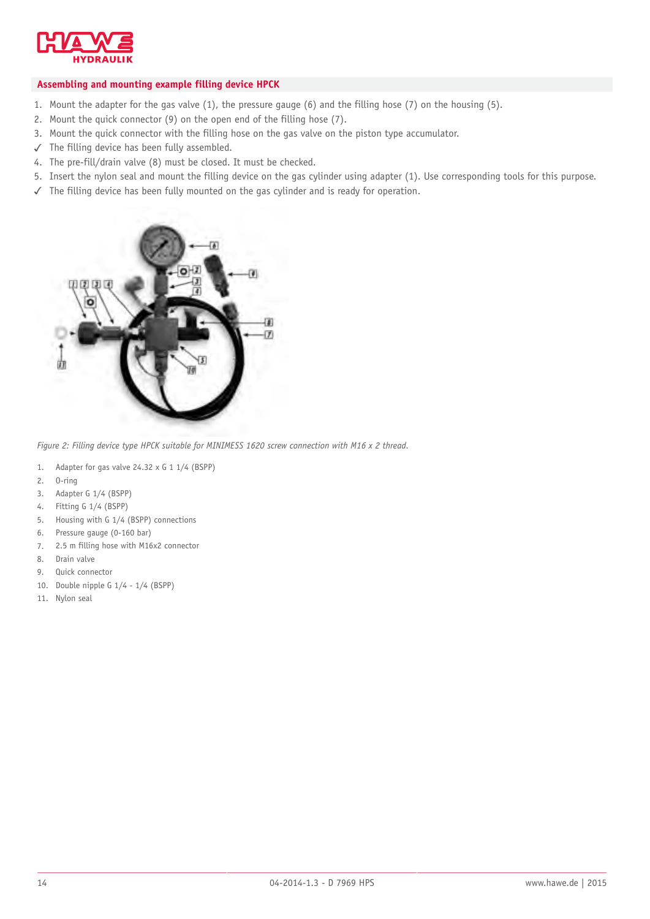

#### **Assembling and mounting example filling device HPCK**

- 1. Mount the adapter for the gas valve (1), the pressure gauge (6) and the filling hose (7) on the housing (5).
- 2. Mount the quick connector (9) on the open end of the filling hose (7).
- 3. Mount the quick connector with the filling hose on the gas valve on the piston type accumulator.
- ✓ The filling device has been fully assembled.
- 4. The pre-fill/drain valve (8) must be closed. It must be checked.
- 5. Insert the nylon seal and mount the filling device on the gas cylinder using adapter (1). Use corresponding tools for this purpose.
- ✓ The filling device has been fully mounted on the gas cylinder and is ready for operation.



*Figure 2: Filling device type HPCK suitable for MINIMESS 1620 screw connection with M16 x 2 thread.*

- 1. Adapter for gas valve 24.32 x G 1 1/4 (BSPP)
- 2. O-ring
- 3. Adapter G 1/4 (BSPP)
- 4. Fitting G 1/4 (BSPP)
- 5. Housing with G 1/4 (BSPP) connections
- 6. Pressure gauge (0-160 bar)
- 7. 2.5 m filling hose with M16x2 connector
- 8. Drain valve
- 9. Quick connector
- 10. Double nipple G 1/4 1/4 (BSPP)
- 11. Nylon seal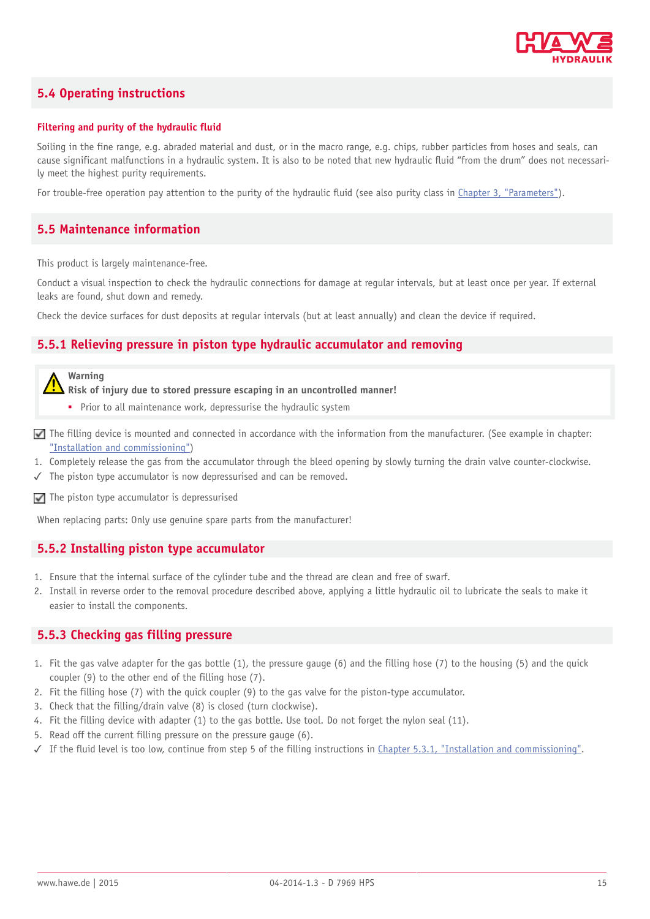

#### <span id="page-14-0"></span>**5.4 Operating instructions**

#### **Filtering and purity of the hydraulic fluid**

Soiling in the fine range, e.g. abraded material and dust, or in the macro range, e.g. chips, rubber particles from hoses and seals, can cause significant malfunctions in a hydraulic system. It is also to be noted that new hydraulic fluid "from the drum" does not necessarily meet the highest purity requirements.

<span id="page-14-1"></span>For trouble-free operation pay attention to the purity of the hydraulic fluid (see also purity class in [Chapter 3, "Parameters"](#page-6-0)).

#### **5.5 Maintenance information**

This product is largely maintenance-free.

Conduct a visual inspection to check the hydraulic connections for damage at regular intervals, but at least once per year. If external leaks are found, shut down and remedy.

<span id="page-14-2"></span>Check the device surfaces for dust deposits at regular intervals (but at least annually) and clean the device if required.

#### **5.5.1 Relieving pressure in piston type hydraulic accumulator and removing**



**Risk of injury due to stored pressure escaping in an uncontrolled manner!**

- Prior to all maintenance work, depressurise the hydraulic system
- $\nabla$  The filling device is mounted and connected in accordance with the information from the manufacturer. (See example in chapter: ["Installation and commissioning"\)](#page-12-1)
- 1. Completely release the gas from the accumulator through the bleed opening by slowly turning the drain valve counter-clockwise.
- ✓ The piston type accumulator is now depressurised and can be removed.
- $\Box$  The piston type accumulator is depressurised

<span id="page-14-3"></span>When replacing parts: Only use genuine spare parts from the manufacturer!

#### **5.5.2 Installing piston type accumulator**

- 1. Ensure that the internal surface of the cylinder tube and the thread are clean and free of swarf.
- 2. Install in reverse order to the removal procedure described above, applying a little hydraulic oil to lubricate the seals to make it easier to install the components.

#### <span id="page-14-4"></span>**5.5.3 Checking gas filling pressure**

- 1. Fit the gas valve adapter for the gas bottle (1), the pressure gauge (6) and the filling hose (7) to the housing (5) and the quick coupler (9) to the other end of the filling hose (7).
- 2. Fit the filling hose (7) with the quick coupler (9) to the gas valve for the piston-type accumulator.
- 3. Check that the filling/drain valve (8) is closed (turn clockwise).
- 4. Fit the filling device with adapter (1) to the gas bottle. Use tool. Do not forget the nylon seal (11).
- 5. Read off the current filling pressure on the pressure gauge (6).
- ✓ If the fluid level is too low, continue from step 5 of the filling instructions in [Chapter 5.3.1, "Installation and commissioning".](#page-12-1)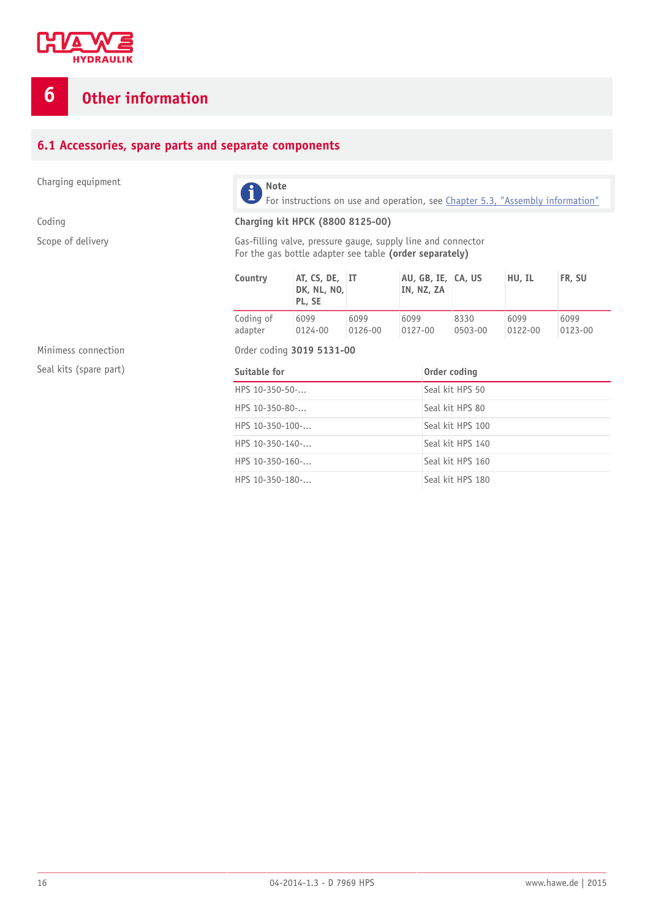

## <span id="page-15-0"></span>**6 Other information**

#### <span id="page-15-1"></span>**6.1 Accessories, spare parts and separate components**

Charging equipment **Note** 



For instructions on use and operation, see [Chapter 5.3, "Assembly information"](#page-12-0)

#### Coding **Charging kit HPCK (8800 8125-00)**

Scope of delivery **Gas-filling valve, pressure gauge, supply line and connector** For the gas bottle adapter see table **(order separately)**

| Country   | AT, CS, DE, IT<br><b>DK, NL, NO,</b><br>PL, SE |         | AU, GB, IE, CA, US<br>IN, NZ, ZA |         | HU, IL  | FR, SU  |
|-----------|------------------------------------------------|---------|----------------------------------|---------|---------|---------|
| Coding of | 6099                                           | 6099    | 6099                             | 8330    | 6099    | 6099    |
| adapter   | 0124-00                                        | 0126-00 | $0127 - 00$                      | 0503-00 | 0122-00 | 0123-00 |

Seal kits (spare part)

Minimess connection **Order coding 3019 5131-00** 

| Suitable for                 | Order coding     |
|------------------------------|------------------|
| HPS $10 - 350 - 50 - $       | Seal kit HPS 50  |
| HPS $10 - 350 - 80 - \dots$  | Seal kit HPS 80  |
| HPS $10-350-100$ -           | Seal kit HPS 100 |
| HPS $10-350-140$ -           | Seal kit HPS 140 |
| HPS $10-350-160$ -           | Seal kit HPS 160 |
| HPS $10 - 350 - 180 - \dots$ | Seal kit HPS 180 |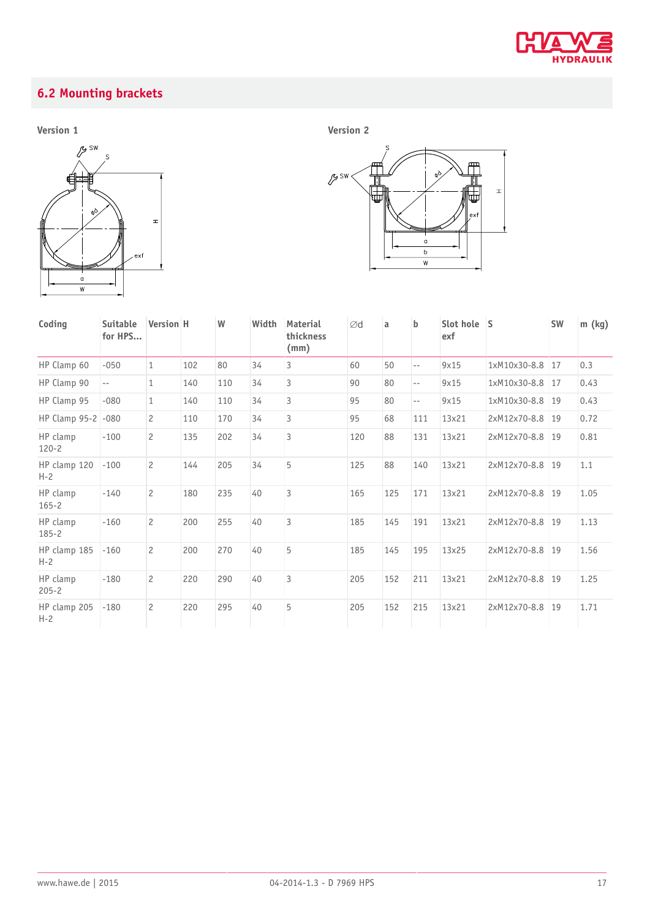

## <span id="page-16-0"></span>**6.2 Mounting brackets**

**Version 1 Version 2**





| Coding                  | <b>Suitable</b><br>for HPS | <b>Version H</b> |     | W   | Width | <b>Material</b><br>thickness<br>(mm) | Ød  | a   | $\mathbf b$ | Slot hole S<br>exf |                 | <b>SW</b> | m (kg) |
|-------------------------|----------------------------|------------------|-----|-----|-------|--------------------------------------|-----|-----|-------------|--------------------|-----------------|-----------|--------|
| HP Clamp 60             | $-050$                     | $\mathbf{1}$     | 102 | 80  | 34    | 3                                    | 60  | 50  | $-$         | 9x15               | 1xM10x30-8.8    | 17        | 0.3    |
| HP Clamp 90             | $- -$                      | $\mathbf{1}$     | 140 | 110 | 34    | $\overline{3}$                       | 90  | 80  | $-$         | 9x15               | 1xM10x30-8.8    | 17        | 0.43   |
| HP Clamp 95             | $-080$                     | $\mathbf{1}$     | 140 | 110 | 34    | $\overline{3}$                       | 95  | 80  | $-$         | 9x15               | 1xM10x30-8.8    | 19        | 0.43   |
| HP Clamp 95-2           | $-080$                     | $\overline{c}$   | 110 | 170 | 34    | 3                                    | 95  | 68  | 111         | 13x21              | 2xM12x70-8.8    | 19        | 0.72   |
| HP clamp<br>$120 - 2$   | $-100$                     | $\overline{c}$   | 135 | 202 | 34    | $\overline{3}$                       | 120 | 88  | 131         | 13x21              | 2xM12x70-8.8 19 |           | 0.81   |
| HP clamp 120<br>$H - 2$ | $-100$                     | $\overline{c}$   | 144 | 205 | 34    | 5                                    | 125 | 88  | 140         | 13x21              | 2xM12x70-8.8 19 |           | 1.1    |
| HP clamp<br>$165 - 2$   | $-140$                     | $\overline{c}$   | 180 | 235 | 40    | $\overline{3}$                       | 165 | 125 | 171         | 13x21              | 2xM12x70-8.8    | 19        | 1.05   |
| HP clamp<br>$185 - 2$   | $-160$                     | $\overline{c}$   | 200 | 255 | 40    | $\overline{3}$                       | 185 | 145 | 191         | 13x21              | 2xM12x70-8.8    | 19        | 1.13   |
| HP clamp 185<br>$H - 2$ | $-160$                     | $\overline{c}$   | 200 | 270 | 40    | 5                                    | 185 | 145 | 195         | 13x25              | 2xM12x70-8.8    | 19        | 1.56   |
| HP clamp<br>$205 - 2$   | $-180$                     | $\overline{c}$   | 220 | 290 | 40    | $\overline{3}$                       | 205 | 152 | 211         | 13x21              | 2xM12x70-8.8    | 19        | 1.25   |
| HP clamp 205<br>$H-2$   | $-180$                     | $\mathcal{P}$    | 220 | 295 | 40    | 5                                    | 205 | 152 | 215         | 13x21              | 2xM12x70-8.8    | 19        | 1.71   |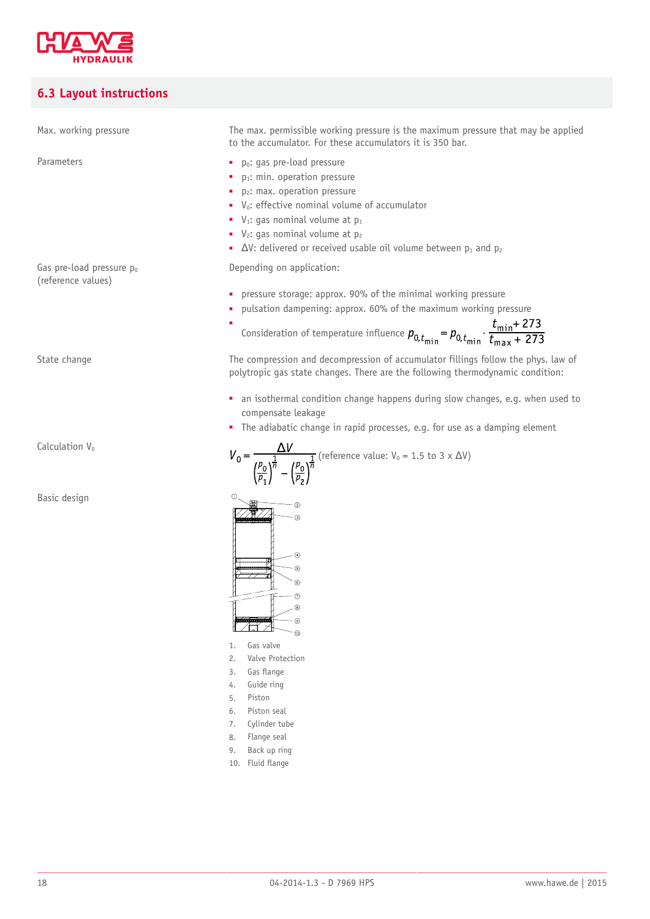

## <span id="page-17-0"></span>**6.3 Layout instructions**

| Max. working pressure                          | The max. permissible working pressure is the maximum pressure that may be applied<br>to the accumulator. For these accumulators it is 350 bar.                                                                                                                                                                                                                                        |
|------------------------------------------------|---------------------------------------------------------------------------------------------------------------------------------------------------------------------------------------------------------------------------------------------------------------------------------------------------------------------------------------------------------------------------------------|
| Parameters                                     | p <sub>o</sub> : gas pre-load pressure<br>p <sub>1</sub> : min. operation pressure<br>p <sub>2</sub> : max. operation pressure<br>V <sub>0</sub> : effective nominal volume of accumulator<br>$V_1$ : gas nominal volume at $p_1$<br>$\bullet$ V <sub>2</sub> : gas nominal volume at $p_2$<br>$\bullet$ $\Delta V$ : delivered or received usable oil volume between $p_1$ and $p_2$ |
| Gas pre-load pressure po<br>(reference values) | Depending on application:                                                                                                                                                                                                                                                                                                                                                             |
|                                                | pressure storage: approx. 90% of the minimal working pressure<br>pulsation dampening: approx. 60% of the maximum working pressure<br>Consideration of temperature influence $p_{0,t_{\text{min}}} = p_{0,t_{\text{min}}} \cdot \frac{t_{\text{min}} + 273}{t_{\text{max}} + 273}$                                                                                                     |
| State change                                   | The compression and decompression of accumulator fillings follow the phys. law of<br>polytropic gas state changes. There are the following thermodynamic condition:                                                                                                                                                                                                                   |
|                                                | • an isothermal condition change happens during slow changes, e.g. when used to<br>compensate leakage<br>• The adiabatic change in rapid processes, e.g. for use as a damping element                                                                                                                                                                                                 |
| Calculation V <sub>0</sub>                     | $V_0 = \frac{\Delta V}{\left(\frac{\rho_0}{\rho_1}\right)^{\frac{1}{n}} - \left(\frac{\rho_0}{\rho_2}\right)^{\frac{1}{n}}}$ (reference value: $V_0 = 1.5$ to $3 \times \Delta V$ )                                                                                                                                                                                                   |
| Basic design                                   | Œ.<br>(ව)<br>の<br>ඹ                                                                                                                                                                                                                                                                                                                                                                   |

- 1. Gas valve
- 2. Valve Protection
- 3. Gas flange
- 4. Guide ring 5. Piston
- 6. Piston seal
- 7. Cylinder tube
- 8. Flange seal
- 9. Back up ring
- 10. Fluid flange